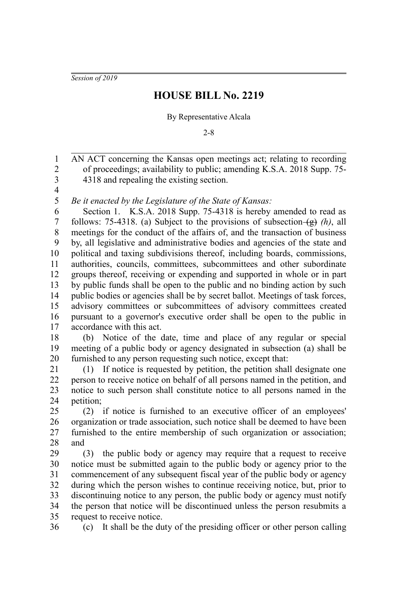*Session of 2019*

## **HOUSE BILL No. 2219**

## By Representative Alcala

2-8

AN ACT concerning the Kansas open meetings act; relating to recording of proceedings; availability to public; amending K.S.A. 2018 Supp. 75- 4318 and repealing the existing section. 1 2 3

4 5

*Be it enacted by the Legislature of the State of Kansas:*

Section 1. K.S.A. 2018 Supp. 75-4318 is hereby amended to read as follows: 75-4318. (a) Subject to the provisions of subsection  $\left(\frac{g}{g}\right)$  (h), all meetings for the conduct of the affairs of, and the transaction of business by, all legislative and administrative bodies and agencies of the state and political and taxing subdivisions thereof, including boards, commissions, authorities, councils, committees, subcommittees and other subordinate groups thereof, receiving or expending and supported in whole or in part by public funds shall be open to the public and no binding action by such public bodies or agencies shall be by secret ballot. Meetings of task forces, advisory committees or subcommittees of advisory committees created pursuant to a governor's executive order shall be open to the public in accordance with this act. 6 7 8 9 10 11 12 13 14 15 16 17

(b) Notice of the date, time and place of any regular or special meeting of a public body or agency designated in subsection (a) shall be furnished to any person requesting such notice, except that: 18 19 20

(1) If notice is requested by petition, the petition shall designate one person to receive notice on behalf of all persons named in the petition, and notice to such person shall constitute notice to all persons named in the petition; 21 22 23 24

(2) if notice is furnished to an executive officer of an employees' organization or trade association, such notice shall be deemed to have been furnished to the entire membership of such organization or association; and 25 26 27 28

(3) the public body or agency may require that a request to receive notice must be submitted again to the public body or agency prior to the commencement of any subsequent fiscal year of the public body or agency during which the person wishes to continue receiving notice, but, prior to discontinuing notice to any person, the public body or agency must notify the person that notice will be discontinued unless the person resubmits a request to receive notice. 29 30 31 32 33 34 35

(c) It shall be the duty of the presiding officer or other person calling 36